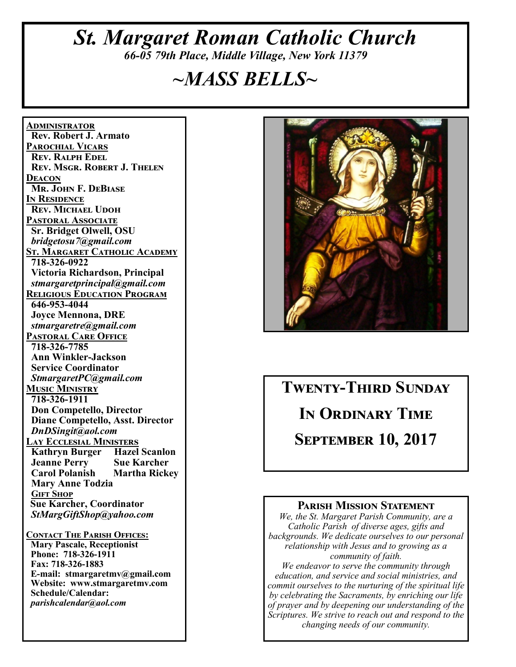# *St. Margaret Roman Catholic Church 66-05 79th Place, Middle Village, New York 11379*

# *~MASS BELLS~*

**<u>ADMINISTRATOR</u> Rev. Robert J. Armato PAROCHIAL VICARS REV. RALPH EDEL REV. MSGR. ROBERT J. THELEN DEACON Mr. John F. DeBiase I**N RESIDENCE **REV. MICHAEL UDOH PASTORAL ASSOCIATE Sr. Bridget Olwell, OSU**   *bridgetosu7@gmail.com*  <u>St. Margaret Catholic Academy</u>  **718-326-0922 Victoria Richardson, Principal**   *stmargaretprincipal@gmail.com*  **RELIGIOUS EDUCATION PROGRAM 646-953-4044 Joyce Mennona, DRE** *stmargaretre@gmail.com*  **PASTORAL CARE OFFICE 718-326-7785 Ann Winkler-Jackson Service Coordinator** *StmargaretPC@gmail.com*  **MUSIC MINISTRY 718-326-1911 Don Competello, Director Diane Competello, Asst. Director** *DnDSingit@aol.com*  **LAY ECCLESIAL MINISTERS Kathryn Burger Hazel Scanlon Jeanne Perry Sue Karcher Carol Polanish Mary Anne Todzia GIFT SHOP Sue Karcher, Coordinator** *StMargGiftShop@yahoo.com*  **CONTACT THE PARISH OFFICES: Mary Pascale, Receptionist Phone: 718-326-1911 Fax: 718-326-1883 E-mail: stmargaretmv@gmail.com Website: www.stmargaretmv.com Schedule/Calendar:** 

*parishcalendar@aol.com* 



**TWENTY-THIRD SUNDAY IN ORDINARY TIME SEPTEMBER 10, 2017** 

#### **PARISH MISSION STATEMENT**

*We, the St. Margaret Parish Community, are a Catholic Parish of diverse ages, gifts and backgrounds. We dedicate ourselves to our personal relationship with Jesus and to growing as a community of faith. We endeavor to serve the community through education, and service and social ministries, and commit ourselves to the nurturing of the spiritual life by celebrating the Sacraments, by enriching our life of prayer and by deepening our understanding of the* 

*Scriptures. We strive to reach out and respond to the changing needs of our community.*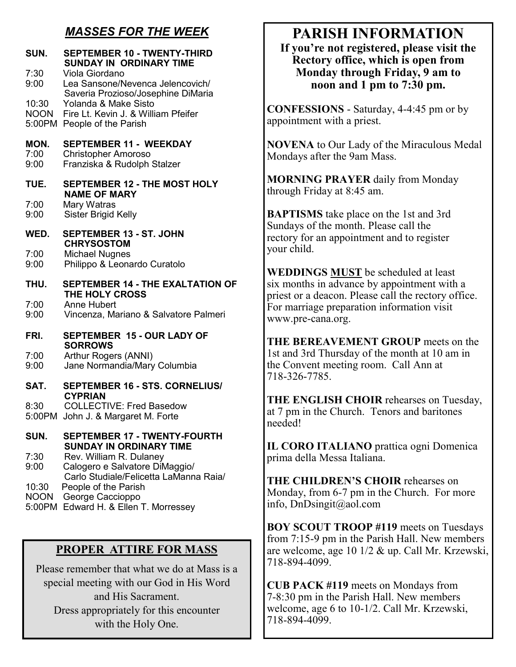### *MASSES FOR THE WEEK*

| SUN.<br>7:30<br>9:00<br>10:30<br><b>NOON</b> | <b>SEPTEMBER 10 - TWENTY-THIRD</b><br><b>SUNDAY IN ORDINARY TIME</b><br>Viola Giordano<br>Lea Sansone/Nevenca Jelencovich/<br>Saveria Prozioso/Josephine DiMaria<br>Yolanda & Make Sisto<br>Fire Lt. Kevin J. & William Pfeifer<br>5:00PM People of the Parish    |
|----------------------------------------------|-------------------------------------------------------------------------------------------------------------------------------------------------------------------------------------------------------------------------------------------------------------------|
| MON.<br>7:00<br>9:00                         | <b>SEPTEMBER 11 - WEEKDAY</b><br><b>Christopher Amoroso</b><br>Franziska & Rudolph Stalzer                                                                                                                                                                        |
| TUE.<br>7:00<br>9:00                         | <b>SEPTEMBER 12 - THE MOST HOLY</b><br><b>NAME OF MARY</b><br>Mary Watras<br><b>Sister Brigid Kelly</b>                                                                                                                                                           |
| WED.<br>7:00<br>9:00                         | <b>SEPTEMBER 13 - ST. JOHN</b><br><b>CHRYSOSTOM</b><br><b>Michael Nugnes</b><br>Philippo & Leonardo Curatolo                                                                                                                                                      |
| THU.<br>7:00<br>9:00                         | <b>SEPTEMBER 14 - THE EXALTATION OF</b><br><b>THE HOLY CROSS</b><br><b>Anne Hubert</b><br>Vincenza, Mariano & Salvatore Palmeri                                                                                                                                   |
| FRI.<br>7:00<br>9:00                         | <b>SEPTEMBER 15 - OUR LADY OF</b><br><b>SORROWS</b><br>Arthur Rogers (ANNI)<br>Jane Normandia/Mary Columbia                                                                                                                                                       |
| SAT.<br>8:30<br>5:00PM                       | <b>SEPTEMBER 16 - STS. CORNELIUS/</b><br><b>CYPRIAN</b><br><b>COLLECTIVE: Fred Basedow</b><br>John J. & Margaret M. Forte                                                                                                                                         |
| SUN.<br>7:30<br>9:00<br>10:30<br><b>NOON</b> | <b>SEPTEMBER 17 - TWENTY-FOURTH</b><br><b>SUNDAY IN ORDINARY TIME</b><br>Rev. William R. Dulaney<br>Calogero e Salvatore DiMaggio/<br>Carlo Studiale/Felicetta LaManna Raia/<br>People of the Parish<br>George Caccioppo<br>5:00PM Edward H. & Ellen T. Morressey |

#### **PROPER ATTIRE FOR MASS**

Please remember that what we do at Mass is a special meeting with our God in His Word and His Sacrament. Dress appropriately for this encounter with the Holy One.

# **PARISH INFORMATION**

**If you're not registered, please visit the Rectory office, which is open from Monday through Friday, 9 am to noon and 1 pm to 7:30 pm.** 

**CONFESSIONS** - Saturday, 4-4:45 pm or by appointment with a priest.

**NOVENA** to Our Lady of the Miraculous Medal Mondays after the 9am Mass.

**MORNING PRAYER** daily from Monday through Friday at 8:45 am.

**BAPTISMS** take place on the 1st and 3rd Sundays of the month. Please call the rectory for an appointment and to register your child.

**WEDDINGS MUST** be scheduled at least six months in advance by appointment with a priest or a deacon. Please call the rectory office. For marriage preparation information visit www.pre-cana.org.

**THE BEREAVEMENT GROUP** meets on the 1st and 3rd Thursday of the month at 10 am in the Convent meeting room. Call Ann at 718-326-7785.

**THE ENGLISH CHOIR** rehearses on Tuesday, at 7 pm in the Church. Tenors and baritones needed!

**IL CORO ITALIANO** prattica ogni Domenica prima della Messa Italiana.

**THE CHILDREN'S CHOIR** rehearses on Monday, from 6-7 pm in the Church. For more info, DnDsingit@aol.com

**BOY SCOUT TROOP #119** meets on Tuesdays from 7:15-9 pm in the Parish Hall. New members are welcome, age 10 1/2 & up. Call Mr. Krzewski, 718-894-4099.

**CUB PACK #119** meets on Mondays from 7-8:30 pm in the Parish Hall. New members welcome, age 6 to 10-1/2. Call Mr. Krzewski, 718-894-4099.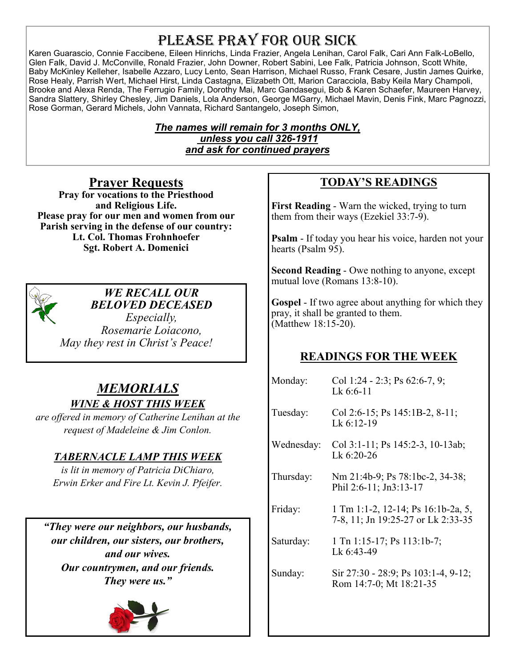# PLEASE PRAY FOR OUR SICK

Karen Guarascio, Connie Faccibene, Eileen Hinrichs, Linda Frazier, Angela Lenihan, Carol Falk, Cari Ann Falk-LoBello, Glen Falk, David J. McConville, Ronald Frazier, John Downer, Robert Sabini, Lee Falk, Patricia Johnson, Scott White, Baby McKinley Kelleher, Isabelle Azzaro, Lucy Lento, Sean Harrison, Michael Russo, Frank Cesare, Justin James Quirke, Rose Healy, Parrish Wert, Michael Hirst, Linda Castagna, Elizabeth Ott, Marion Caracciola, Baby Keila Mary Champoli, Brooke and Alexa Renda, The Ferrugio Family, Dorothy Mai, Marc Gandasegui, Bob & Karen Schaefer, Maureen Harvey, Sandra Slattery, Shirley Chesley, Jim Daniels, Lola Anderson, George MGarry, Michael Mavin, Denis Fink, Marc Pagnozzi, Rose Gorman, Gerard Michels, John Vannata, Richard Santangelo, Joseph Simon,

#### *The names will remain for 3 months ONLY, unless you call 326-1911 and ask for continued prayers*

**Prayer Requests Pray for vocations to the Priesthood and Religious Life. Please pray for our men and women from our Parish serving in the defense of our country: Lt. Col. Thomas Frohnhoefer Sgt. Robert A. Domenici** 



#### *WE RECALL OUR BELOVED DECEASED*

*Especially, Rosemarie Loiacono, May they rest in Christ's Peace!* 

### *MEMORIALS WINE & HOST THIS WEEK*

*are offered in memory of Catherine Lenihan at the request of Madeleine & Jim Conlon.* 

### *TABERNACLE LAMP THIS WEEK*

*is lit in memory of Patricia DiChiaro, Erwin Erker and Fire Lt. Kevin J. Pfeifer.* 

*"They were our neighbors, our husbands, our children, our sisters, our brothers, and our wives. Our countrymen, and our friends. They were us."* 



### **TODAY'S READINGS**

**First Reading** - Warn the wicked, trying to turn them from their ways (Ezekiel 33:7-9).

**Psalm** - If today you hear his voice, harden not your hearts (Psalm 95).

**Second Reading** - Owe nothing to anyone, except mutual love (Romans 13:8-10).

**Gospel** - If two agree about anything for which they pray, it shall be granted to them. (Matthew 18:15-20).

### **READINGS FOR THE WEEK**

Monday: Col 1:24 - 2:3; Ps 62:6-7, 9; Lk 6:6-11 Tuesday: Col 2:6-15; Ps 145:1B-2, 8-11; Lk 6:12-19 Wednesday: Col 3:1-11; Ps 145:2-3, 10-13ab; Lk 6:20-26 Thursday: Nm 21:4b-9; Ps 78:1bc-2, 34-38; Phil 2:6-11; Jn3:13-17 Friday: 1 Tm 1:1-2, 12-14; Ps 16:1b-2a, 5, 7-8, 11; Jn 19:25-27 or Lk 2:33-35 Saturday: 1 Tn 1:15-17; Ps 113:1b-7; Lk 6:43-49 Sunday: Sir 27:30 - 28:9; Ps 103:1-4, 9-12; Rom 14:7-0; Mt 18:21-35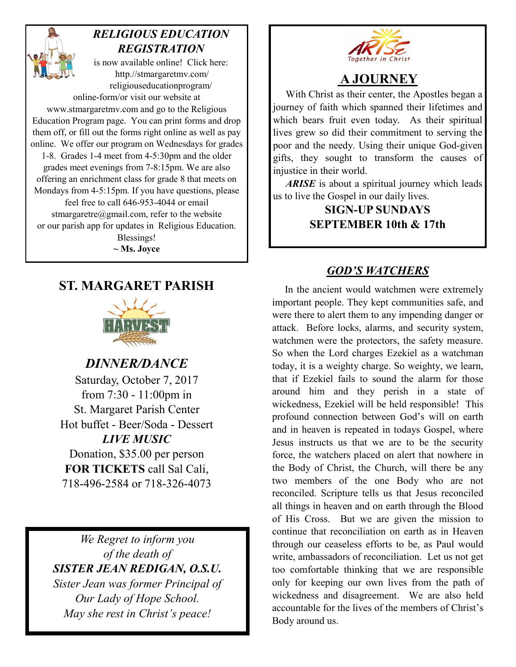

## *RELIGIOUS EDUCATION REGISTRATION*

is now available online! Click here: http.//stmargaretmv.com/ religiouseducationprogram/ online-form/or visit our website at www.stmargaretmv.com and go to the Religious Education Program page. You can print forms and drop them off, or fill out the forms right online as well as pay online. We offer our program on Wednesdays for grades 1-8. Grades 1-4 meet from 4-5:30pm and the older grades meet evenings from 7-8:15pm. We are also offering an enrichment class for grade 8 that meets on Mondays from 4-5:15pm. If you have questions, please feel free to call 646-953-4044 or email stmargaretre@gmail.com, refer to the website or our parish app for updates in Religious Education. Blessings!

**~ Ms. Joyce** 

# **ST. MARGARET PARISH**



*DINNER/DANCE*  Saturday, October 7, 2017 from 7:30 - 11:00pm in St. Margaret Parish Center Hot buffet - Beer/Soda - Dessert *LIVE MUSIC*  Donation, \$35.00 per person **FOR TICKETS** call Sal Cali, 718-496-2584 or 718-326-4073

*We Regret to inform you of the death of SISTER JEAN REDIGAN, O.S.U. Sister Jean was former Principal of Our Lady of Hope School. May she rest in Christ's peace!* 



## **A JOURNEY**

 With Christ as their center, the Apostles began a journey of faith which spanned their lifetimes and which bears fruit even today. As their spiritual lives grew so did their commitment to serving the poor and the needy. Using their unique God-given gifts, they sought to transform the causes of injustice in their world.

 *ARISE* is about a spiritual journey which leads us to live the Gospel in our daily lives.

> **SIGN-UP SUNDAYS SEPTEMBER 10th & 17th**

### *GOD'S WATCHERS*

 In the ancient would watchmen were extremely important people. They kept communities safe, and were there to alert them to any impending danger or attack. Before locks, alarms, and security system, watchmen were the protectors, the safety measure. So when the Lord charges Ezekiel as a watchman today, it is a weighty charge. So weighty, we learn, that if Ezekiel fails to sound the alarm for those around him and they perish in a state of wickedness, Ezekiel will be held responsible! This profound connection between God's will on earth and in heaven is repeated in todays Gospel, where Jesus instructs us that we are to be the security force, the watchers placed on alert that nowhere in the Body of Christ, the Church, will there be any two members of the one Body who are not reconciled. Scripture tells us that Jesus reconciled all things in heaven and on earth through the Blood of His Cross. But we are given the mission to continue that reconciliation on earth as in Heaven through our ceaseless efforts to be, as Paul would write, ambassadors of reconciliation. Let us not get too comfortable thinking that we are responsible only for keeping our own lives from the path of wickedness and disagreement. We are also held accountable for the lives of the members of Christ's Body around us.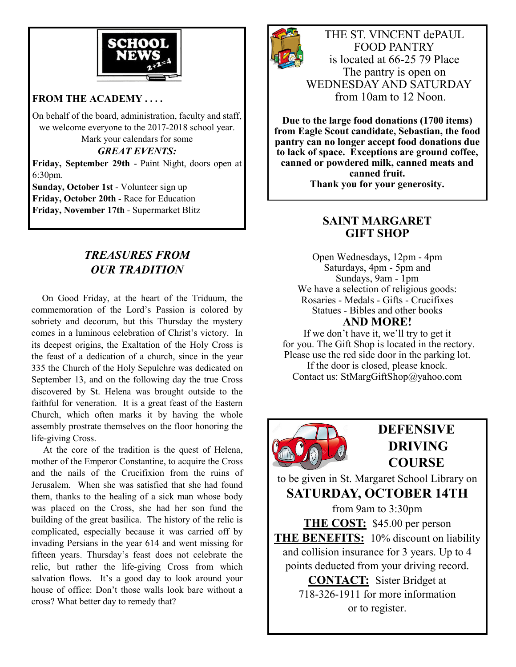

#### **FROM THE ACADEMY . . . .**

On behalf of the board, administration, faculty and staff, we welcome everyone to the 2017-2018 school year. Mark your calendars for some

*GREAT EVENTS:* 

**Friday, September 29th** - Paint Night, doors open at 6:30pm.

**Sunday, October 1st** - Volunteer sign up **Friday, October 20th** - Race for Education **Friday, November 17th** - Supermarket Blitz

#### *TREASURES FROM OUR TRADITION*

 On Good Friday, at the heart of the Triduum, the commemoration of the Lord's Passion is colored by sobriety and decorum, but this Thursday the mystery comes in a luminous celebration of Christ's victory. In its deepest origins, the Exaltation of the Holy Cross is the feast of a dedication of a church, since in the year 335 the Church of the Holy Sepulchre was dedicated on September 13, and on the following day the true Cross discovered by St. Helena was brought outside to the faithful for veneration. It is a great feast of the Eastern Church, which often marks it by having the whole assembly prostrate themselves on the floor honoring the life-giving Cross.

 At the core of the tradition is the quest of Helena, mother of the Emperor Constantine, to acquire the Cross and the nails of the Crucifixion from the ruins of Jerusalem. When she was satisfied that she had found them, thanks to the healing of a sick man whose body was placed on the Cross, she had her son fund the building of the great basilica. The history of the relic is complicated, especially because it was carried off by invading Persians in the year 614 and went missing for fifteen years. Thursday's feast does not celebrate the relic, but rather the life-giving Cross from which salvation flows. It's a good day to look around your house of office: Don't those walls look bare without a cross? What better day to remedy that?



THE ST. VINCENT dePAUL FOOD PANTRY is located at 66-25 79 Place The pantry is open on WEDNESDAY AND SATURDAY from 10am to 12 Noon.

**Due to the large food donations (1700 items) from Eagle Scout candidate, Sebastian, the food pantry can no longer accept food donations due to lack of space. Exceptions are ground coffee, canned or powdered milk, canned meats and canned fruit. Thank you for your generosity.** 

#### **SAINT MARGARET GIFT SHOP**

Open Wednesdays, 12pm - 4pm Saturdays, 4pm - 5pm and Sundays, 9am - 1pm We have a selection of religious goods: Rosaries - Medals - Gifts - Crucifixes Statues - Bibles and other books **AND MORE!** 

If we don't have it, we'll try to get it for you. The Gift Shop is located in the rectory. Please use the red side door in the parking lot.

If the door is closed, please knock. Contact us: StMargGiftShop@yahoo.com



# **DEFENSIVE DRIVING COURSE**

to be given in St. Margaret School Library on **SATURDAY, OCTOBER 14TH** 

from 9am to 3:30pm **THE COST:** \$45.00 per person **THE BENEFITS:** 10% discount on liability and collision insurance for 3 years. Up to 4 points deducted from your driving record. **CONTACT:** Sister Bridget at

718-326-1911 for more information or to register.